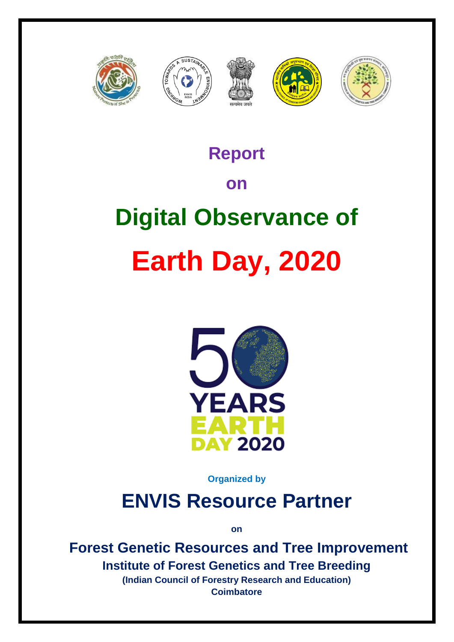









# **Report**

### **on**

# **Digital Observance of Earth Day, 2020**



**Organized by**

# **ENVIS Resource Partner**

**on**

**Forest Genetic Resources and Tree Improvement Institute of Forest Genetics and Tree Breeding (Indian Council of Forestry Research and Education)**

**Coimbatore**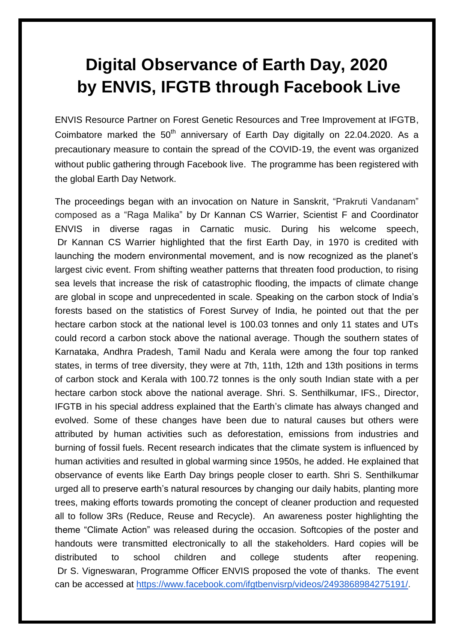## **Digital Observance of Earth Day, 2020 by ENVIS, IFGTB through Facebook Live**

ENVIS Resource Partner on Forest Genetic Resources and Tree Improvement at IFGTB, Coimbatore marked the  $50<sup>th</sup>$  anniversary of Earth Day digitally on 22.04.2020. As a precautionary measure to contain the spread of the COVID-19, the event was organized without public gathering through Facebook live. The programme has been registered with the global Earth Day Network.

The proceedings began with an invocation on Nature in Sanskrit, "Prakruti Vandanam" composed as a "Raga Malika" by Dr Kannan CS Warrier, Scientist F and Coordinator ENVIS in diverse ragas in Carnatic music. During his welcome speech, Dr Kannan CS Warrier highlighted that the first Earth Day, in 1970 is credited with launching the modern environmental movement, and is now recognized as the planet's largest civic event. From shifting weather patterns that threaten food production, to rising sea levels that increase the risk of catastrophic flooding, the impacts of climate change are global in scope and unprecedented in scale. Speaking on the carbon stock of India's forests based on the statistics of Forest Survey of India, he pointed out that the per hectare carbon stock at the national level is 100.03 tonnes and only 11 states and UTs could record a carbon stock above the national average. Though the southern states of Karnataka, Andhra Pradesh, Tamil Nadu and Kerala were among the four top ranked states, in terms of tree diversity, they were at 7th, 11th, 12th and 13th positions in terms of carbon stock and Kerala with 100.72 tonnes is the only south Indian state with a per hectare carbon stock above the national average. Shri. S. Senthilkumar, IFS., Director, IFGTB in his special address explained that the Earth's climate has always changed and evolved. Some of these changes have been due to natural causes but others were attributed by human activities such as deforestation, emissions from industries and burning of fossil fuels. Recent research indicates that the climate system is influenced by human activities and resulted in global warming since 1950s, he added. He explained that observance of events like Earth Day brings people closer to earth. Shri S. Senthilkumar urged all to preserve earth's natural resources by changing our daily habits, planting more trees, making efforts towards promoting the concept of cleaner production and requested all to follow 3Rs (Reduce, Reuse and Recycle). An awareness poster highlighting the theme "Climate Action" was released during the occasion. Softcopies of the poster and handouts were transmitted electronically to all the stakeholders. Hard copies will be distributed to school children and college students after reopening. Dr S. Vigneswaran, Programme Officer ENVIS proposed the vote of thanks. The event can be accessed at [https://www.facebook.com/ifgtbenvisrp/videos/2493868984275191/.](https://www.facebook.com/ifgtbenvisrp/videos/2493868984275191/)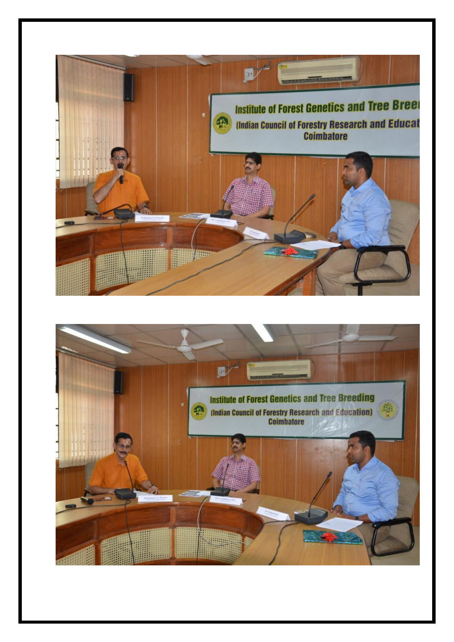

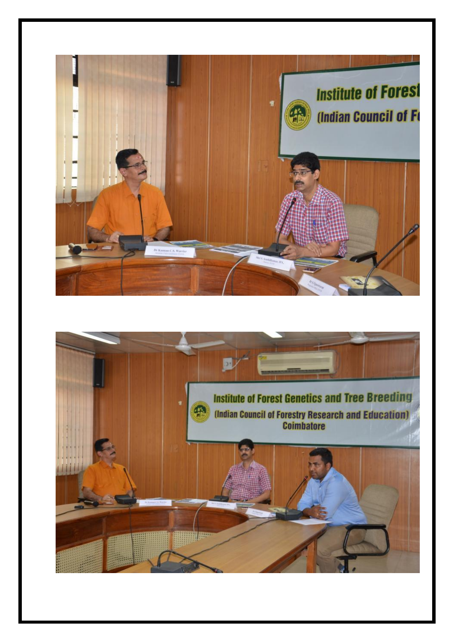

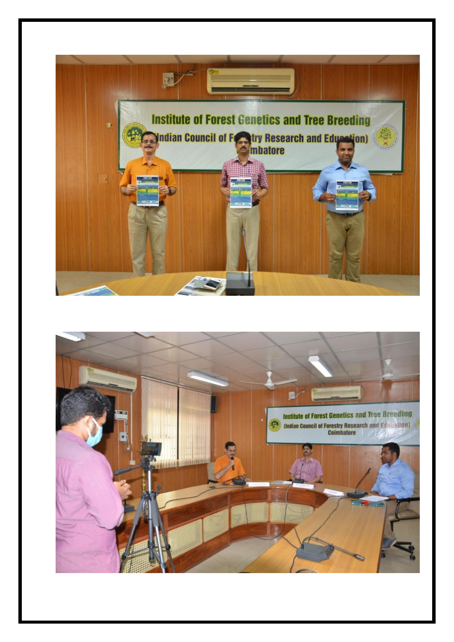